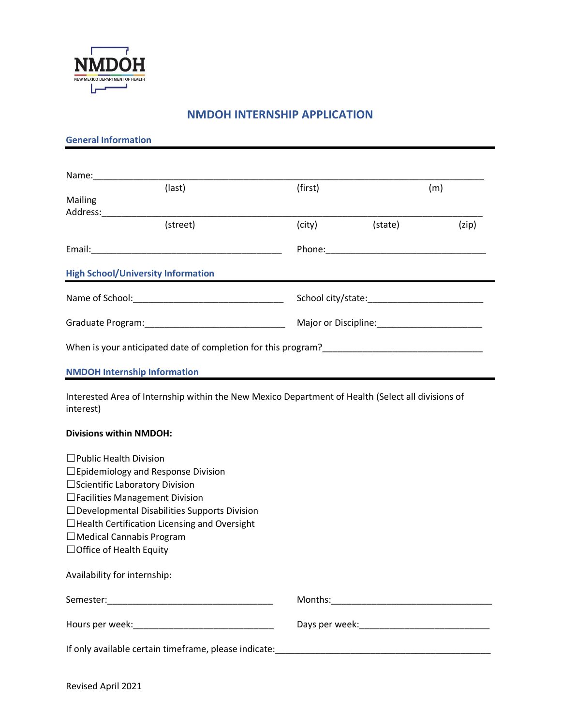

## **NMDOH INTERNSHIP APPLICATION**

## **General Information**

| Name: Name<br>(last)                                                                                                                                                                                                                                                                                                                                          | (first)                                                                                                                                                                                                                        |         | (m)   |  |
|---------------------------------------------------------------------------------------------------------------------------------------------------------------------------------------------------------------------------------------------------------------------------------------------------------------------------------------------------------------|--------------------------------------------------------------------------------------------------------------------------------------------------------------------------------------------------------------------------------|---------|-------|--|
| Mailing                                                                                                                                                                                                                                                                                                                                                       |                                                                                                                                                                                                                                |         |       |  |
|                                                                                                                                                                                                                                                                                                                                                               |                                                                                                                                                                                                                                |         |       |  |
| (street)                                                                                                                                                                                                                                                                                                                                                      | (city)                                                                                                                                                                                                                         | (state) | (zip) |  |
|                                                                                                                                                                                                                                                                                                                                                               |                                                                                                                                                                                                                                |         |       |  |
| <b>High School/University Information</b>                                                                                                                                                                                                                                                                                                                     |                                                                                                                                                                                                                                |         |       |  |
|                                                                                                                                                                                                                                                                                                                                                               |                                                                                                                                                                                                                                |         |       |  |
|                                                                                                                                                                                                                                                                                                                                                               | Major or Discipline: Major of Discipline:                                                                                                                                                                                      |         |       |  |
|                                                                                                                                                                                                                                                                                                                                                               |                                                                                                                                                                                                                                |         |       |  |
| <b>NMDOH Internship Information</b>                                                                                                                                                                                                                                                                                                                           |                                                                                                                                                                                                                                |         |       |  |
| <b>Divisions within NMDOH:</b><br>$\Box$ Public Health Division<br>$\Box$ Epidemiology and Response Division<br>□ Scientific Laboratory Division<br>□ Facilities Management Division<br>□ Developmental Disabilities Supports Division<br>$\Box$ Health Certification Licensing and Oversight<br>$\Box$ Medical Cannabis Program<br>□ Office of Health Equity |                                                                                                                                                                                                                                |         |       |  |
| Availability for internship:                                                                                                                                                                                                                                                                                                                                  |                                                                                                                                                                                                                                |         |       |  |
|                                                                                                                                                                                                                                                                                                                                                               |                                                                                                                                                                                                                                |         |       |  |
|                                                                                                                                                                                                                                                                                                                                                               | Days per week: National Contract of the Contract of the Contract of the Contract of the Contract of the Contract of the Contract of the Contract of the Contract of the Contract of the Contract of the Contract of the Contra |         |       |  |
|                                                                                                                                                                                                                                                                                                                                                               |                                                                                                                                                                                                                                |         |       |  |